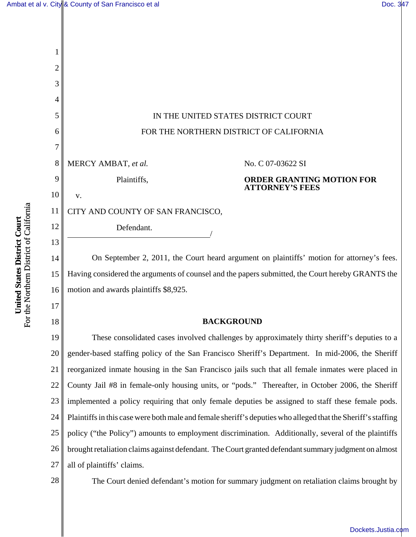

15 16 On September 2, 2011, the Court heard argument on plaintiffs' motion for attorney's fees. Having considered the arguments of counsel and the papers submitted, the Court hereby GRANTS the motion and awards plaintiffs \$8,925.

# **BACKGROUND**

19 20 21 22 23 24 25 26 27 These consolidated cases involved challenges by approximately thirty sheriff's deputies to a gender-based staffing policy of the San Francisco Sheriff's Department. In mid-2006, the Sheriff reorganized inmate housing in the San Francisco jails such that all female inmates were placed in County Jail #8 in female-only housing units, or "pods." Thereafter, in October 2006, the Sheriff implemented a policy requiring that only female deputies be assigned to staff these female pods. Plaintiffs in this case were both male and female sheriff's deputies who alleged that the Sheriff's staffing policy ("the Policy") amounts to employment discrimination. Additionally, several of the plaintiffs brought retaliation claims against defendant. The Court granted defendant summary judgment on almost all of plaintiffs' claims.

28

17

18

The Court denied defendant's motion for summary judgment on retaliation claims brought by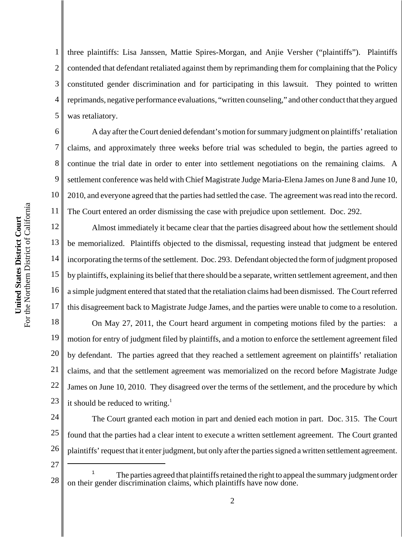6

7

8

9

10

11

1 2 3 4 5 three plaintiffs: Lisa Janssen, Mattie Spires-Morgan, and Anjie Versher ("plaintiffs"). Plaintiffs contended that defendant retaliated against them by reprimanding them for complaining that the Policy constituted gender discrimination and for participating in this lawsuit. They pointed to written reprimands, negative performance evaluations, "written counseling," and other conduct that they argued was retaliatory.

A day after the Court denied defendant's motion for summary judgment on plaintiffs' retaliation claims, and approximately three weeks before trial was scheduled to begin, the parties agreed to continue the trial date in order to enter into settlement negotiations on the remaining claims. A settlement conference was held with Chief Magistrate Judge Maria-Elena James on June 8 and June 10, 2010, and everyone agreed that the parties had settled the case. The agreement was read into the record. The Court entered an order dismissing the case with prejudice upon settlement. Doc. 292.

12 13 14 15 16 17 Almost immediately it became clear that the parties disagreed about how the settlement should be memorialized. Plaintiffs objected to the dismissal, requesting instead that judgment be entered incorporating the terms of the settlement. Doc. 293. Defendant objected the form of judgment proposed by plaintiffs, explaining its belief that there should be a separate, written settlement agreement, and then a simple judgment entered that stated that the retaliation claims had been dismissed. The Court referred this disagreement back to Magistrate Judge James, and the parties were unable to come to a resolution.

18 19 20 21 22 23 On May 27, 2011, the Court heard argument in competing motions filed by the parties: a motion for entry of judgment filed by plaintiffs, and a motion to enforce the settlement agreement filed by defendant. The parties agreed that they reached a settlement agreement on plaintiffs' retaliation claims, and that the settlement agreement was memorialized on the record before Magistrate Judge James on June 10, 2010. They disagreed over the terms of the settlement, and the procedure by which it should be reduced to writing.<sup>1</sup>

24 25 26 The Court granted each motion in part and denied each motion in part. Doc. 315. The Court found that the parties had a clear intent to execute a written settlement agreement. The Court granted plaintiffs' request that it enter judgment, but only after the parties signed a written settlement agreement.

27

<sup>28</sup> <sup>1</sup> The parties agreed that plaintiffs retained the right to appeal the summary judgment order on their gender discrimination claims, which plaintiffs have now done.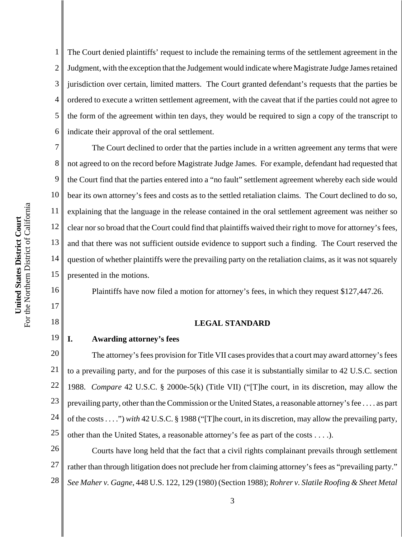1 2 3 4 5 6 The Court denied plaintiffs' request to include the remaining terms of the settlement agreement in the Judgment, with the exception that the Judgement would indicate where Magistrate Judge James retained jurisdiction over certain, limited matters. The Court granted defendant's requests that the parties be ordered to execute a written settlement agreement, with the caveat that if the parties could not agree to the form of the agreement within ten days, they would be required to sign a copy of the transcript to indicate their approval of the oral settlement.

7 8 9 10 11 12 13 14 15 The Court declined to order that the parties include in a written agreement any terms that were not agreed to on the record before Magistrate Judge James. For example, defendant had requested that the Court find that the parties entered into a "no fault" settlement agreement whereby each side would bear its own attorney's fees and costs as to the settled retaliation claims. The Court declined to do so, explaining that the language in the release contained in the oral settlement agreement was neither so clear nor so broad that the Court could find that plaintiffs waived their right to move for attorney's fees, and that there was not sufficient outside evidence to support such a finding. The Court reserved the question of whether plaintiffs were the prevailing party on the retaliation claims, as it was not squarely presented in the motions.

Plaintiffs have now filed a motion for attorney's fees, in which they request \$127,447.26.

# **LEGAL STANDARD**

#### 19 **I. Awarding attorney's fees**

20 21 22 23 24 25 The attorney's fees provision for Title VII cases provides that a court may award attorney's fees to a prevailing party, and for the purposes of this case it is substantially similar to 42 U.S.C. section 1988. *Compare* 42 U.S.C. § 2000e-5(k) (Title VII) ("[T]he court, in its discretion, may allow the prevailing party, other than the Commission or the United States, a reasonable attorney's fee . . . . as part of the costs . . . .") *with* 42 U.S.C. § 1988 ("[T]he court, in its discretion, may allow the prevailing party, other than the United States, a reasonable attorney's fee as part of the costs . . . .).

26 27 28 Courts have long held that the fact that a civil rights complainant prevails through settlement rather than through litigation does not preclude her from claiming attorney's fees as "prevailing party." *See Maher v. Gagne*, 448 U.S. 122, 129 (1980) (Section 1988); *Rohrer v. Slatile Roofing & Sheet Metal*

16

17

18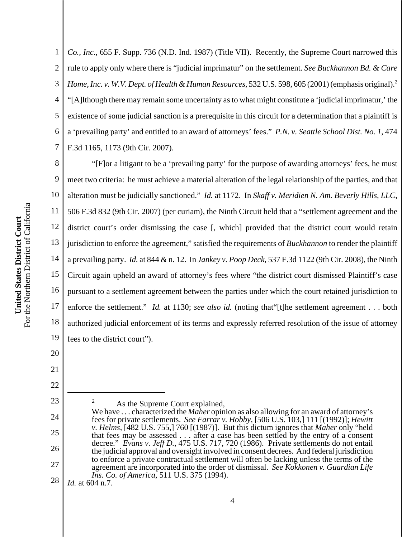1 2 3 4 5 6 7 *Co., Inc.*, 655 F. Supp. 736 (N.D. Ind. 1987) (Title VII). Recently, the Supreme Court narrowed this rule to apply only where there is "judicial imprimatur" on the settlement. *See Buckhannon Bd. & Care Home, Inc. v. W.V. Dept. of Health & Human Resources,* 532 U.S. 598, 605 (2001) (emphasis original).<sup>2</sup> "[A]lthough there may remain some uncertainty as to what might constitute a 'judicial imprimatur,' the existence of some judicial sanction is a prerequisite in this circuit for a determination that a plaintiff is a 'prevailing party' and entitled to an award of attorneys' fees." *P.N. v. Seattle School Dist. No. 1*, 474 F.3d 1165, 1173 (9th Cir. 2007).

8 9 10 11 12 13 14 15 16 17 18 19 "[F]or a litigant to be a 'prevailing party' for the purpose of awarding attorneys' fees, he must meet two criteria: he must achieve a material alteration of the legal relationship of the parties, and that alteration must be judicially sanctioned." *Id.* at 1172. In *Skaff v. Meridien N. Am. Beverly Hills, LLC*, 506 F.3d 832 (9th Cir. 2007) (per curiam), the Ninth Circuit held that a "settlement agreement and the district court's order dismissing the case [, which] provided that the district court would retain jurisdiction to enforce the agreement," satisfied the requirements of *Buckhannon* to render the plaintiff a prevailing party. *Id.* at 844 & n. 12. In *Jankey v. Poop Deck*, 537 F.3d 1122 (9th Cir. 2008), the Ninth Circuit again upheld an award of attorney's fees where "the district court dismissed Plaintiff's case pursuant to a settlement agreement between the parties under which the court retained jurisdiction to enforce the settlement." *Id.* at 1130; *see also id.* (noting that "[t]he settlement agreement . . . both authorized judicial enforcement of its terms and expressly referred resolution of the issue of attorney fees to the district court").

22

23

24

25

26

27

20

21

<sup>2</sup> As the Supreme Court explained,

28 *Id.* at 604 n.7.

We have . . . characterized the *Maher* opinion as also allowing for an award of attorney's fees for private settlements. *See Farrar v. Hobby*, [506 U.S. 103,] 111 [(1992)]; *Hewitt v. Helms*, [482 U.S. 755,] 760 [(1987)]. But this dictum ignores that *Maher* only "held that fees may be assessed . . . after a case has been settled by the entry of a consent decree." *Evans v. Jeff D.*, 475 U.S. 717, 720 (1986). Private settlements do not entail the judicial approval and oversight involved in consent decrees. And federal jurisdiction to enforce a private contractual settlement will often be lacking unless the terms of the agreement are incorporated into the order of dismissal. *See Kokkonen v. Guardian Life Ins. Co. of America*, 511 U.S. 375 (1994).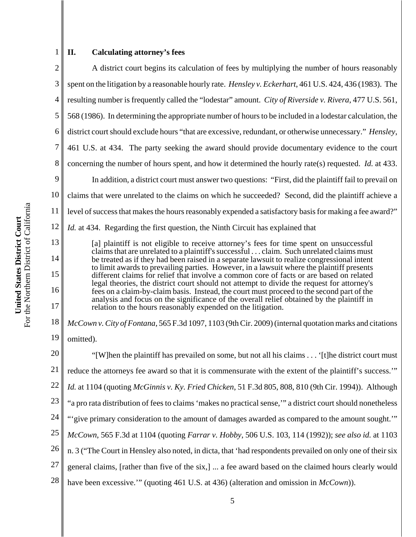# 2

1

# **II. Calculating attorney's fees**

3 4 5 6 7 8 9 10 11 12 13 A district court begins its calculation of fees by multiplying the number of hours reasonably spent on the litigation by a reasonable hourly rate. *Hensley v. Eckerhart*, 461 U.S. 424, 436 (1983). The resulting number is frequently called the "lodestar" amount. *City of Riverside v. Rivera*, 477 U.S. 561, 568 (1986). In determining the appropriate number of hours to be included in a lodestar calculation, the district court should exclude hours "that are excessive, redundant, or otherwise unnecessary." *Hensley*, 461 U.S. at 434. The party seeking the award should provide documentary evidence to the court concerning the number of hours spent, and how it determined the hourly rate(s) requested. *Id.* at 433. In addition, a district court must answer two questions: "First, did the plaintiff fail to prevail on claims that were unrelated to the claims on which he succeeded? Second, did the plaintiff achieve a level of success that makes the hours reasonably expended a satisfactory basis for making a fee award?" *Id.* at 434. Regarding the first question, the Ninth Circuit has explained that

[a] plaintiff is not eligible to receive attorney's fees for time spent on unsuccessful claims that are unrelated to a plaintiff's successful . . . claim. Such unrelated claims must be treated as if they had been raised in a separate lawsuit to realize congressional intent to limit awards to prevailing parties. However, in a lawsuit where the plaintiff presents different claims for relief that involve a common core of facts or are based on related legal theories, the district court should not attempt to divide the request for attorney's fees on a claim-by-claim basis. Instead, the court must proceed to the second part of the analysis and focus on the significance of the overall relief obtained by the plaintiff in relation to the hours reasonably expended on the litigation.

18 19 *McCown v. City of Fontana*, 565 F.3d 1097, 1103 (9th Cir. 2009) (internal quotation marks and citations omitted).

20 21 22 23 24 25 26 27 28 "[W]hen the plaintiff has prevailed on some, but not all his claims . . . '[t]he district court must reduce the attorneys fee award so that it is commensurate with the extent of the plaintiff's success.'" *Id.* at 1104 (quoting *McGinnis v. Ky. Fried Chicken*, 51 F.3d 805, 808, 810 (9th Cir. 1994)). Although "a pro rata distribution of fees to claims 'makes no practical sense,'" a district court should nonetheless "'give primary consideration to the amount of damages awarded as compared to the amount sought.'" *McCown*, 565 F.3d at 1104 (quoting *Farrar v. Hobby*, 506 U.S. 103, 114 (1992)); *see also id.* at 1103 n. 3 ("The Court in Hensley also noted, in dicta, that 'had respondents prevailed on only one of their six general claims, [rather than five of the six,] ... a fee award based on the claimed hours clearly would have been excessive.'" (quoting 461 U.S. at 436) (alteration and omission in *McCown*)).

14

15

16

17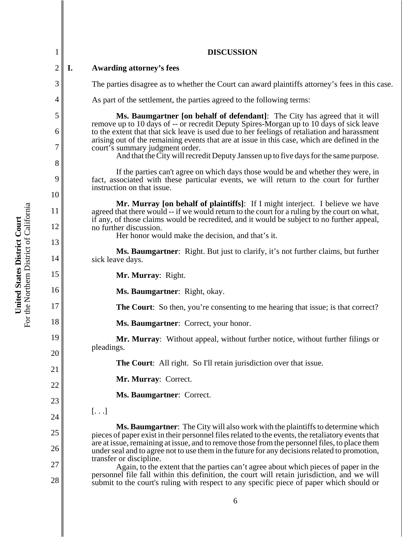|                | <b>DISCUSSION</b>                                                                                                                                                                                                                                                                            |
|----------------|----------------------------------------------------------------------------------------------------------------------------------------------------------------------------------------------------------------------------------------------------------------------------------------------|
| $\overline{2}$ | I.<br><b>Awarding attorney's fees</b>                                                                                                                                                                                                                                                        |
| 3              | The parties disagree as to whether the Court can award plaintiffs attorney's fees in this case.                                                                                                                                                                                              |
| 4              | As part of the settlement, the parties agreed to the following terms:                                                                                                                                                                                                                        |
| 5              | Ms. Baumgartner [on behalf of defendant]: The City has agreed that it will                                                                                                                                                                                                                   |
| 6              | remove up to 10 days of -- or recredit Deputy Spires-Morgan up to 10 days of sick leave<br>to the extent that that sick leave is used due to her feelings of retaliation and harassment<br>arising out of the remaining events that are at issue in this case, which are defined in the      |
| 7<br>8         | court's summary judgment order.<br>And that the City will recredit Deputy Janssen up to five days for the same purpose.                                                                                                                                                                      |
| 9<br>10        | If the parties can't agree on which days those would be and whether they were, in<br>fact, associated with these particular events, we will return to the court for further<br>instruction on that issue.                                                                                    |
| 11             | Mr. Murray [on behalf of plaintiffs]: If I might interject. I believe we have<br>agreed that there would -- if we would return to the court for a ruling by the court on what,<br>if any, of those claims would be recredited, and it would be subject to no further appeal,                 |
| 12<br>13       | no further discussion.<br>Her honor would make the decision, and that's it.                                                                                                                                                                                                                  |
| 14             | Ms. Baumgartner: Right. But just to clarify, it's not further claims, but further<br>sick leave days.                                                                                                                                                                                        |
| 15             | Mr. Murray: Right.                                                                                                                                                                                                                                                                           |
| 16             | Ms. Baumgartner: Right, okay.                                                                                                                                                                                                                                                                |
| 17             | <b>The Court:</b> So then, you're consenting to me hearing that issue; is that correct?                                                                                                                                                                                                      |
| 18             | Ms. Baumgartner: Correct, your honor.                                                                                                                                                                                                                                                        |
| 19<br>20       | Mr. Murray: Without appeal, without further notice, without further filings or<br>pleadings.                                                                                                                                                                                                 |
| 21             | <b>The Court:</b> All right. So I'll retain jurisdiction over that issue.                                                                                                                                                                                                                    |
| 22             | Mr. Murray: Correct.                                                                                                                                                                                                                                                                         |
| 23             | Ms. Baumgartner: Correct.                                                                                                                                                                                                                                                                    |
| 24             | $[ \ldots ]$                                                                                                                                                                                                                                                                                 |
| 25             | <b>Ms. Baumgartner:</b> The City will also work with the plaintiffs to determine which<br>pieces of paper exist in their personnel files related to the events, the retaliatory events that<br>are at issue, remaining at issue, and to remove those from the personnel files, to place them |
| 26             | under seal and to agree not to use them in the future for any decisions related to promotion,<br>transfer or discipline.                                                                                                                                                                     |
| 27<br>28       | Again, to the extent that the parties can't agree about which pieces of paper in the<br>personnel file fall within this definition, the court will retain jurisdiction, and we will<br>submit to the court's ruling with respect to any specific piece of paper which should or              |
|                | 6                                                                                                                                                                                                                                                                                            |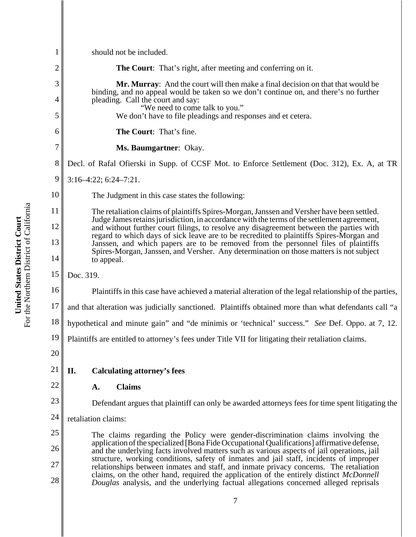| 1              | should not be included.                                                                                                                                                                                                                                                                                                                                                                                                                                                                                                                                         |
|----------------|-----------------------------------------------------------------------------------------------------------------------------------------------------------------------------------------------------------------------------------------------------------------------------------------------------------------------------------------------------------------------------------------------------------------------------------------------------------------------------------------------------------------------------------------------------------------|
| $\overline{c}$ | <b>The Court:</b> That's right, after meeting and conferring on it.                                                                                                                                                                                                                                                                                                                                                                                                                                                                                             |
| 3<br>4         | Mr. Murray: And the court will then make a final decision on that that would be<br>binding, and no appeal would be taken so we don't continue on, and there's no further<br>pleading. Call the court and say:                                                                                                                                                                                                                                                                                                                                                   |
| 5              | "We need to come talk to you."<br>We don't have to file pleadings and responses and et cetera.                                                                                                                                                                                                                                                                                                                                                                                                                                                                  |
| 6              | The Court: That's fine.                                                                                                                                                                                                                                                                                                                                                                                                                                                                                                                                         |
| 7              | Ms. Baumgartner: Okay.                                                                                                                                                                                                                                                                                                                                                                                                                                                                                                                                          |
| 8              | Decl. of Rafal Ofierski in Supp. of CCSF Mot. to Enforce Settlement (Doc. 312), Ex. A, at TR                                                                                                                                                                                                                                                                                                                                                                                                                                                                    |
| 9              | $3:16-4:22$ ; $6:24-7:21$ .                                                                                                                                                                                                                                                                                                                                                                                                                                                                                                                                     |
| 10             | The Judgment in this case states the following:                                                                                                                                                                                                                                                                                                                                                                                                                                                                                                                 |
| 11             | The retaliation claims of plaintiffs Spires-Morgan, Janssen and Versher have been settled.<br>Judge James retains jurisdiction, in accordance with the terms of the settlement agreement,<br>and without further court filings, to resolve any disagreement between the parties with<br>regard to which days of sick leave are to be recredited to plaintiffs Spires-Morgan and<br>Janssen, and which papers are to be removed from the personnel files of plaintiffs<br>Spires-Morgan, Janssen, and Versher. Any determination on those matters is not subject |
| 12             |                                                                                                                                                                                                                                                                                                                                                                                                                                                                                                                                                                 |
| 13             |                                                                                                                                                                                                                                                                                                                                                                                                                                                                                                                                                                 |
| 14             | to appeal.                                                                                                                                                                                                                                                                                                                                                                                                                                                                                                                                                      |
| 15             | Doc. 319.                                                                                                                                                                                                                                                                                                                                                                                                                                                                                                                                                       |
| 16             | Plaintiffs in this case have achieved a material alteration of the legal relationship of the parties,                                                                                                                                                                                                                                                                                                                                                                                                                                                           |
| 17             | and that alteration was judicially sanctioned. Plaintiffs obtained more than what defendants call "a                                                                                                                                                                                                                                                                                                                                                                                                                                                            |
| 18             | hypothetical and minute gain" and "de minimis or 'technical' success." See Def. Oppo. at 7, 12.                                                                                                                                                                                                                                                                                                                                                                                                                                                                 |
| 19             | Plaintiffs are entitled to attorney's fees under Title VII for litigating their retaliation claims.                                                                                                                                                                                                                                                                                                                                                                                                                                                             |
| 20             |                                                                                                                                                                                                                                                                                                                                                                                                                                                                                                                                                                 |
| 21             | II.<br><b>Calculating attorney's fees</b>                                                                                                                                                                                                                                                                                                                                                                                                                                                                                                                       |
| 22             | <b>Claims</b><br>A.                                                                                                                                                                                                                                                                                                                                                                                                                                                                                                                                             |
| 23             | Defendant argues that plaintiff can only be awarded attorneys fees for time spent litigating the                                                                                                                                                                                                                                                                                                                                                                                                                                                                |
| 24             | retaliation claims:                                                                                                                                                                                                                                                                                                                                                                                                                                                                                                                                             |
| 25             | The claims regarding the Policy were gender-discrimination claims involving the                                                                                                                                                                                                                                                                                                                                                                                                                                                                                 |
| 26             | application of the specialized [Bona Fide Occupational Qualifications] affirmative defense,<br>and the underlying facts involved matters such as various aspects of jail operations, jail                                                                                                                                                                                                                                                                                                                                                                       |
| 27             | structure, working conditions, safety of inmates and jail staff, incidents of improper<br>relationships between inmates and staff, and inmate privacy concerns. The retaliation                                                                                                                                                                                                                                                                                                                                                                                 |
| 28             | claims, on the other hand, required the application of the entirely distinct McDonnell<br>Douglas analysis, and the underlying factual allegations concerned alleged reprisals                                                                                                                                                                                                                                                                                                                                                                                  |
|                | 7                                                                                                                                                                                                                                                                                                                                                                                                                                                                                                                                                               |

**United States District Court**<br>For the Northern District of California For the Northern District of California **United States District Court**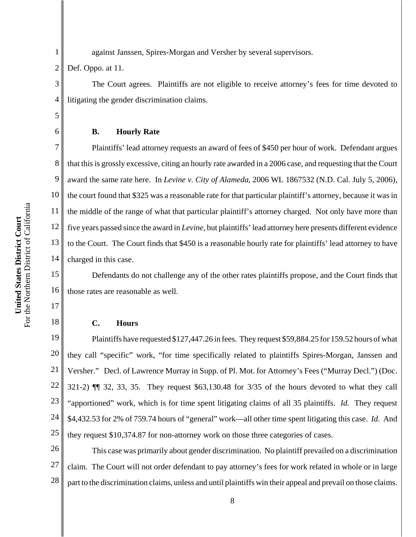For the Northern District of California For the Northern District of California United States District Court **United States District Court**

against Janssen, Spires-Morgan and Versher by several supervisors.

2 Def. Oppo. at 11.

1

3

4

5

6

7

8

9

10

11

12

13

14

17

18

The Court agrees. Plaintiffs are not eligible to receive attorney's fees for time devoted to litigating the gender discrimination claims.

# **B. Hourly Rate**

Plaintiffs' lead attorney requests an award of fees of \$450 per hour of work. Defendant argues that this is grossly excessive, citing an hourly rate awarded in a 2006 case, and requesting that the Court award the same rate here. In *Levine v. City of Alameda*, 2006 WL 1867532 (N.D. Cal. July 5, 2006), the court found that \$325 was a reasonable rate for that particular plaintiff's attorney, because it was in the middle of the range of what that particular plaintiff's attorney charged. Not only have more than five years passed since the award in *Levine*, but plaintiffs' lead attorney here presents different evidence to the Court. The Court finds that \$450 is a reasonable hourly rate for plaintiffs' lead attorney to have charged in this case.

15 16 Defendants do not challenge any of the other rates plaintiffs propose, and the Court finds that those rates are reasonable as well.

# **C. Hours**

19 20 21 22 23 24 25 Plaintiffs have requested \$127,447.26 in fees. They request \$59,884.25 for 159.52 hours of what they call "specific" work, "for time specifically related to plaintiffs Spires-Morgan, Janssen and Versher." Decl. of Lawrence Murray in Supp. of Pl. Mot. for Attorney's Fees ("Murray Decl.") (Doc. 321-2) ¶¶ 32, 33, 35. They request \$63,130.48 for 3/35 of the hours devoted to what they call "apportioned" work, which is for time spent litigating claims of all 35 plaintiffs. *Id.* They request \$4,432.53 for 2% of 759.74 hours of "general" work—all other time spent litigating this case. *Id.* And they request \$10,374.87 for non-attorney work on those three categories of cases.

26 27 28 This case was primarily about gender discrimination. No plaintiff prevailed on a discrimination claim. The Court will not order defendant to pay attorney's fees for work related in whole or in large part to the discrimination claims, unless and until plaintiffs win their appeal and prevail on those claims.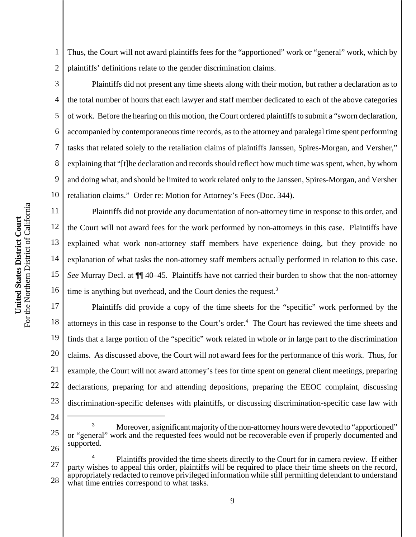1 2 Thus, the Court will not award plaintiffs fees for the "apportioned" work or "general" work, which by plaintiffs' definitions relate to the gender discrimination claims.

3 4 5 6 7 8 9 10 Plaintiffs did not present any time sheets along with their motion, but rather a declaration as to the total number of hours that each lawyer and staff member dedicated to each of the above categories of work. Before the hearing on this motion, the Court ordered plaintiffs to submit a "sworn declaration, accompanied by contemporaneous time records, as to the attorney and paralegal time spent performing tasks that related solely to the retaliation claims of plaintiffs Janssen, Spires-Morgan, and Versher," explaining that "[t]he declaration and records should reflect how much time was spent, when, by whom and doing what, and should be limited to work related only to the Janssen, Spires-Morgan, and Versher retaliation claims." Order re: Motion for Attorney's Fees (Doc. 344).

11 12 13 14 15 16 Plaintiffs did not provide any documentation of non-attorney time in response to this order, and the Court will not award fees for the work performed by non-attorneys in this case. Plaintiffs have explained what work non-attorney staff members have experience doing, but they provide no explanation of what tasks the non-attorney staff members actually performed in relation to this case. *See* Murray Decl. at ¶¶ 40–45. Plaintiffs have not carried their burden to show that the non-attorney time is anything but overhead, and the Court denies the request.<sup>3</sup>

17 18 19 20 21 22 23 Plaintiffs did provide a copy of the time sheets for the "specific" work performed by the attorneys in this case in response to the Court's order.<sup>4</sup> The Court has reviewed the time sheets and finds that a large portion of the "specific" work related in whole or in large part to the discrimination claims. As discussed above, the Court will not award fees for the performance of this work. Thus, for example, the Court will not award attorney's fees for time spent on general client meetings, preparing declarations, preparing for and attending depositions, preparing the EEOC complaint, discussing discrimination-specific defenses with plaintiffs, or discussing discrimination-specific case law with

- 24
- 25 26

Moreover, a significant majority of the non-attorney hours were devoted to "apportioned" or "general" work and the requested fees would not be recoverable even if properly documented and supported.

<sup>27</sup> 28 Plaintiffs provided the time sheets directly to the Court for in camera review. If either party wishes to appeal this order, plaintiffs will be required to place their time sheets on the record, appropriately redacted to remove privileged information while still permitting defendant to understand what time entries correspond to what tasks.